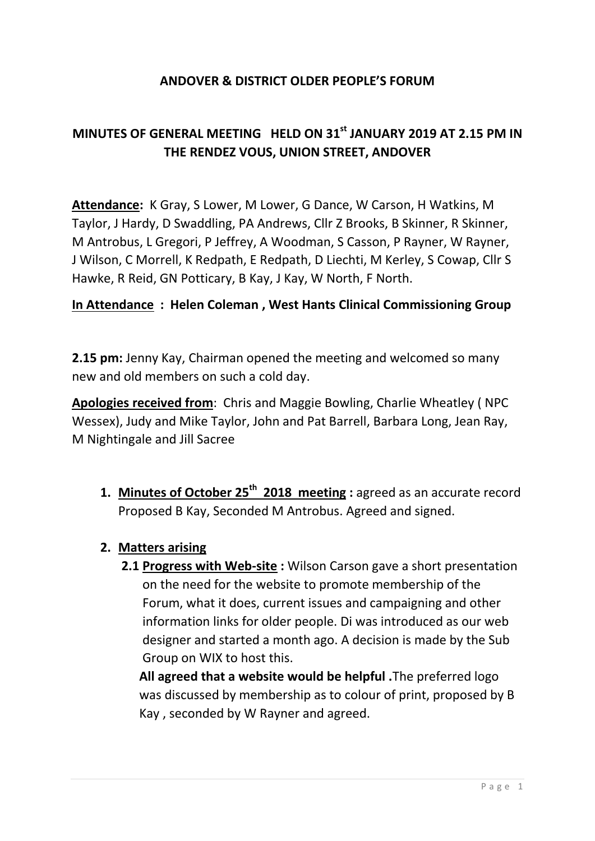### **ANDOVER & DISTRICT OLDER PEOPLE'S FORUM**

# **MINUTES OF GENERAL MEETING HELD ON 31st JANUARY 2019 AT 2.15 PM IN THE RENDEZ VOUS, UNION STREET, ANDOVER**

**Attendance:** K Gray, S Lower, M Lower, G Dance, W Carson, H Watkins, M Taylor, J Hardy, D Swaddling, PA Andrews, Cllr Z Brooks, B Skinner, R Skinner, M Antrobus, L Gregori, P Jeffrey, A Woodman, S Casson, P Rayner, W Rayner, J Wilson, C Morrell, K Redpath, E Redpath, D Liechti, M Kerley, S Cowap, Cllr S Hawke, R Reid, GN Potticary, B Kay, J Kay, W North, F North.

#### **In Attendance : Helen Coleman , West Hants Clinical Commissioning Group**

**2.15 pm:** Jenny Kay, Chairman opened the meeting and welcomed so many new and old members on such a cold day.

**Apologies received from**: Chris and Maggie Bowling, Charlie Wheatley ( NPC Wessex), Judy and Mike Taylor, John and Pat Barrell, Barbara Long, Jean Ray, M Nightingale and Jill Sacree

**1. Minutes of October 25th 2018 meeting :** agreed as an accurate record Proposed B Kay, Seconded M Antrobus. Agreed and signed.

#### **2. Matters arising**

**2.1 Progress with Web-site :** Wilson Carson gave a short presentation on the need for the website to promote membership of the Forum, what it does, current issues and campaigning and other information links for older people. Di was introduced as our web designer and started a month ago. A decision is made by the Sub Group on WIX to host this.

**All agreed that a website would be helpful .**The preferred logo was discussed by membership as to colour of print, proposed by B Kay , seconded by W Rayner and agreed.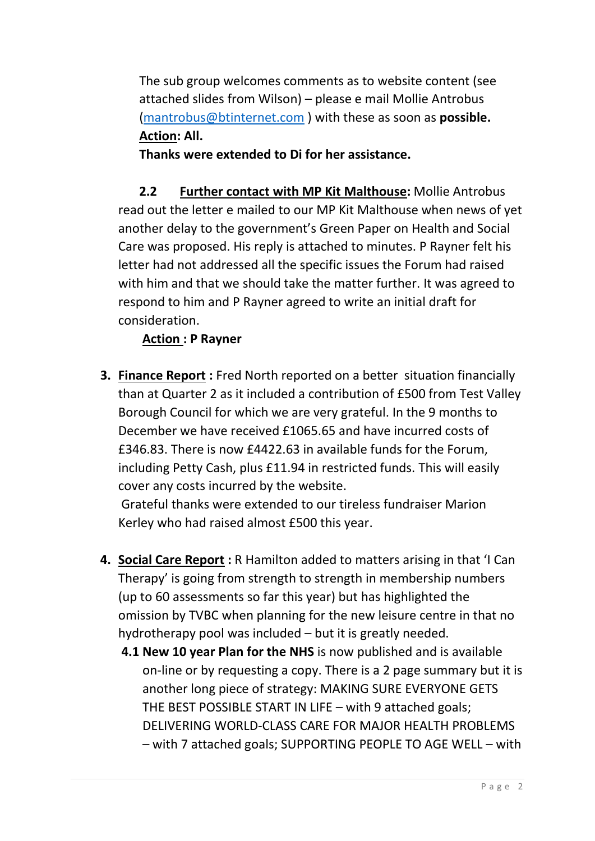The sub group welcomes comments as to website content (see attached slides from Wilson) – please e mail Mollie Antrobus [\(mantrobus@btinternet.com](mailto:mantrobus@btinternet.com) ) with these as soon as **possible. Action: All.**

**Thanks were extended to Di for her assistance.**

**2.2 Further contact with MP Kit Malthouse:** Mollie Antrobus read out the letter e mailed to our MP Kit Malthouse when news of yet another delay to the government's Green Paper on Health and Social Care was proposed. His reply is attached to minutes. P Rayner felt his letter had not addressed all the specific issues the Forum had raised with him and that we should take the matter further. It was agreed to respond to him and P Rayner agreed to write an initial draft for consideration.

# **Action : P Rayner**

**3. Finance Report :** Fred North reported on a better situation financially than at Quarter 2 as it included a contribution of £500 from Test Valley Borough Council for which we are very grateful. In the 9 months to December we have received £1065.65 and have incurred costs of £346.83. There is now £4422.63 in available funds for the Forum, including Petty Cash, plus £11.94 in restricted funds. This will easily cover any costs incurred by the website.

Grateful thanks were extended to our tireless fundraiser Marion Kerley who had raised almost £500 this year.

- **4. Social Care Report :** R Hamilton added to matters arising in that 'I Can Therapy' is going from strength to strength in membership numbers (up to 60 assessments so far this year) but has highlighted the omission by TVBC when planning for the new leisure centre in that no hydrotherapy pool was included – but it is greatly needed.
	- **4.1 New 10 year Plan for the NHS** is now published and is available on-line or by requesting a copy. There is a 2 page summary but it is another long piece of strategy: MAKING SURE EVERYONE GETS THE BEST POSSIBLE START IN LIFE – with 9 attached goals; DELIVERING WORLD-CLASS CARE FOR MAJOR HEALTH PROBLEMS – with 7 attached goals; SUPPORTING PEOPLE TO AGE WELL – with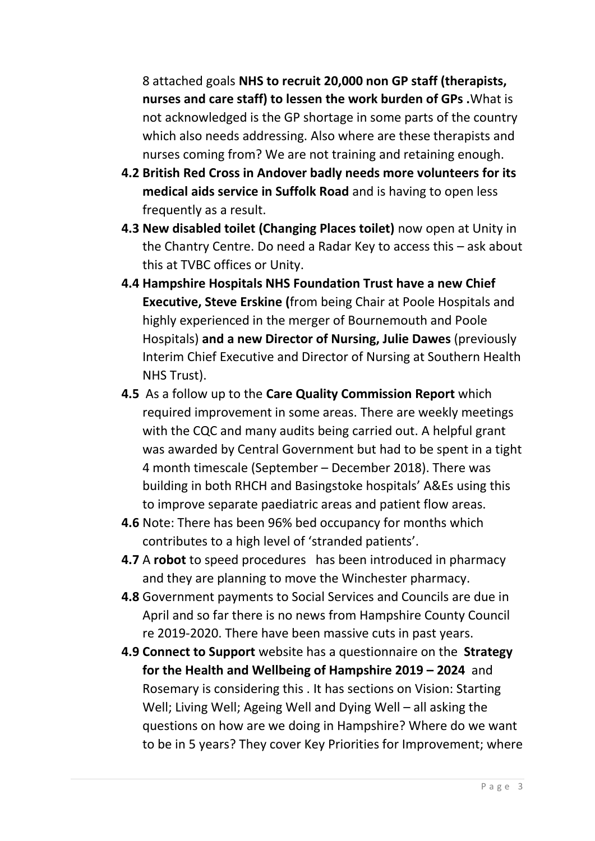8 attached goals **NHS to recruit 20,000 non GP staff (therapists, nurses and care staff) to lessen the work burden of GPs .**What is not acknowledged is the GP shortage in some parts of the country which also needs addressing. Also where are these therapists and nurses coming from? We are not training and retaining enough.

- **4.2 British Red Cross in Andover badly needs more volunteers for its medical aids service in Suffolk Road** and is having to open less frequently as a result.
- **4.3 New disabled toilet (Changing Places toilet)** now open at Unity in the Chantry Centre. Do need a Radar Key to access this – ask about this at TVBC offices or Unity.
- **4.4 Hampshire Hospitals NHS Foundation Trust have a new Chief Executive, Steve Erskine (**from being Chair at Poole Hospitals and highly experienced in the merger of Bournemouth and Poole Hospitals) **and a new Director of Nursing, Julie Dawes** (previously Interim Chief Executive and Director of Nursing at Southern Health NHS Trust).
- **4.5** As a follow up to the **Care Quality Commission Report** which required improvement in some areas. There are weekly meetings with the CQC and many audits being carried out. A helpful grant was awarded by Central Government but had to be spent in a tight 4 month timescale (September – December 2018). There was building in both RHCH and Basingstoke hospitals' A&Es using this to improve separate paediatric areas and patient flow areas.
- **4.6** Note: There has been 96% bed occupancy for months which contributes to a high level of 'stranded patients'.
- **4.7** A **robot** to speed procedures has been introduced in pharmacy and they are planning to move the Winchester pharmacy.
- **4.8** Government payments to Social Services and Councils are due in April and so far there is no news from Hampshire County Council re 2019-2020. There have been massive cuts in past years.
- **4.9 Connect to Support** website has a questionnaire on the **Strategy for the Health and Wellbeing of Hampshire 2019 – 2024** and Rosemary is considering this . It has sections on Vision: Starting Well; Living Well; Ageing Well and Dying Well – all asking the questions on how are we doing in Hampshire? Where do we want to be in 5 years? They cover Key Priorities for Improvement; where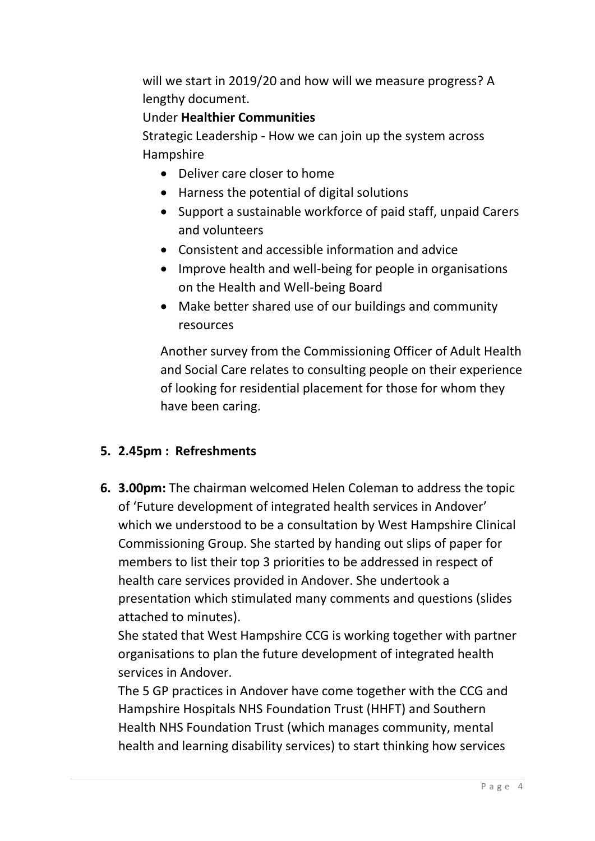will we start in 2019/20 and how will we measure progress? A lengthy document.

## Under **Healthier Communities**

Strategic Leadership - How we can join up the system across Hampshire

- Deliver care closer to home
- Harness the potential of digital solutions
- Support a sustainable workforce of paid staff, unpaid Carers and volunteers
- Consistent and accessible information and advice
- Improve health and well-being for people in organisations on the Health and Well-being Board
- Make better shared use of our buildings and community resources

Another survey from the Commissioning Officer of Adult Health and Social Care relates to consulting people on their experience of looking for residential placement for those for whom they have been caring.

### **5. 2.45pm : Refreshments**

**6. 3.00pm:** The chairman welcomed Helen Coleman to address the topic of 'Future development of integrated health services in Andover' which we understood to be a consultation by West Hampshire Clinical Commissioning Group. She started by handing out slips of paper for members to list their top 3 priorities to be addressed in respect of health care services provided in Andover. She undertook a presentation which stimulated many comments and questions (slides attached to minutes).

She stated that West Hampshire CCG is working together with partner organisations to plan the future development of integrated health services in Andover.

The 5 GP practices in Andover have come together with the CCG and Hampshire Hospitals NHS Foundation Trust (HHFT) and Southern Health NHS Foundation Trust (which manages community, mental health and learning disability services) to start thinking how services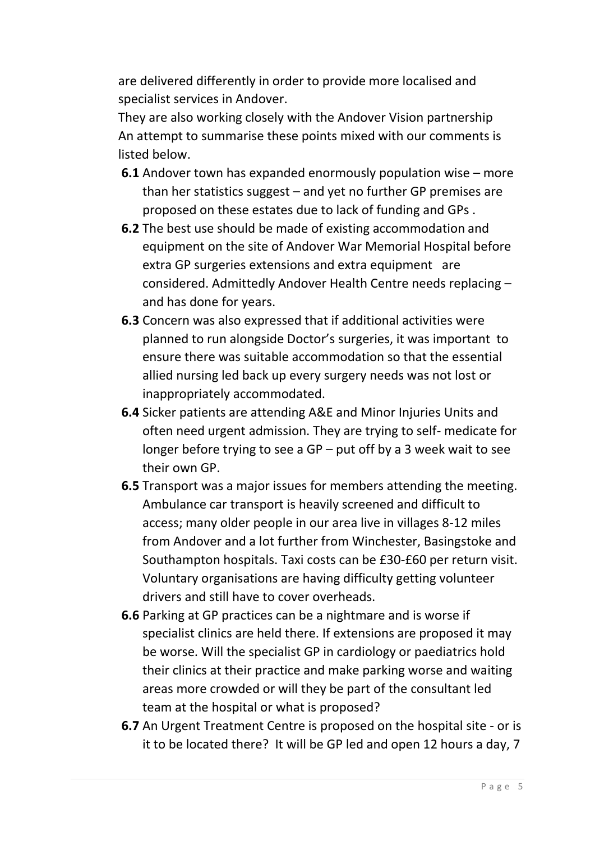are delivered differently in order to provide more localised and specialist services in Andover.

They are also working closely with the Andover Vision partnership An attempt to summarise these points mixed with our comments is listed below.

- **6.1** Andover town has expanded enormously population wise more than her statistics suggest – and yet no further GP premises are proposed on these estates due to lack of funding and GPs .
- **6.2** The best use should be made of existing accommodation and equipment on the site of Andover War Memorial Hospital before extra GP surgeries extensions and extra equipment are considered. Admittedly Andover Health Centre needs replacing – and has done for years.
- **6.3** Concern was also expressed that if additional activities were planned to run alongside Doctor's surgeries, it was important to ensure there was suitable accommodation so that the essential allied nursing led back up every surgery needs was not lost or inappropriately accommodated.
- **6.4** Sicker patients are attending A&E and Minor Injuries Units and often need urgent admission. They are trying to self- medicate for longer before trying to see a GP – put off by a 3 week wait to see their own GP.
- **6.5** Transport was a major issues for members attending the meeting. Ambulance car transport is heavily screened and difficult to access; many older people in our area live in villages 8-12 miles from Andover and a lot further from Winchester, Basingstoke and Southampton hospitals. Taxi costs can be £30-£60 per return visit. Voluntary organisations are having difficulty getting volunteer drivers and still have to cover overheads.
- **6.6** Parking at GP practices can be a nightmare and is worse if specialist clinics are held there. If extensions are proposed it may be worse. Will the specialist GP in cardiology or paediatrics hold their clinics at their practice and make parking worse and waiting areas more crowded or will they be part of the consultant led team at the hospital or what is proposed?
- **6.7** An Urgent Treatment Centre is proposed on the hospital site or is it to be located there? It will be GP led and open 12 hours a day, 7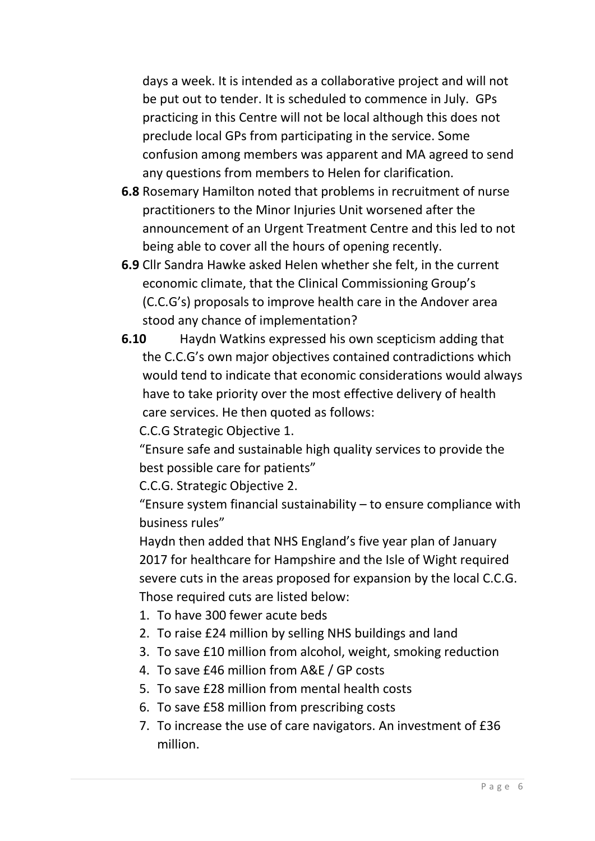days a week. It is intended as a collaborative project and will not be put out to tender. It is scheduled to commence in July. GPs practicing in this Centre will not be local although this does not preclude local GPs from participating in the service. Some confusion among members was apparent and MA agreed to send any questions from members to Helen for clarification.

- **6.8** Rosemary Hamilton noted that problems in recruitment of nurse practitioners to the Minor Injuries Unit worsened after the announcement of an Urgent Treatment Centre and this led to not being able to cover all the hours of opening recently.
- **6.9** Cllr Sandra Hawke asked Helen whether she felt, in the current economic climate, that the Clinical Commissioning Group's (C.C.G's) proposals to improve health care in the Andover area stood any chance of implementation?
- **6.10** Haydn Watkins expressed his own scepticism adding that the C.C.G's own major objectives contained contradictions which would tend to indicate that economic considerations would always have to take priority over the most effective delivery of health care services. He then quoted as follows:

C.C.G Strategic Objective 1.

"Ensure safe and sustainable high quality services to provide the best possible care for patients"

C.C.G. Strategic Objective 2.

"Ensure system financial sustainability  $-$  to ensure compliance with business rules"

Haydn then added that NHS England's five year plan of January 2017 for healthcare for Hampshire and the Isle of Wight required severe cuts in the areas proposed for expansion by the local C.C.G. Those required cuts are listed below:

- 1. To have 300 fewer acute beds
- 2. To raise £24 million by selling NHS buildings and land
- 3. To save £10 million from alcohol, weight, smoking reduction
- 4. To save £46 million from A&E / GP costs
- 5. To save £28 million from mental health costs
- 6. To save £58 million from prescribing costs
- 7. To increase the use of care navigators. An investment of £36 million.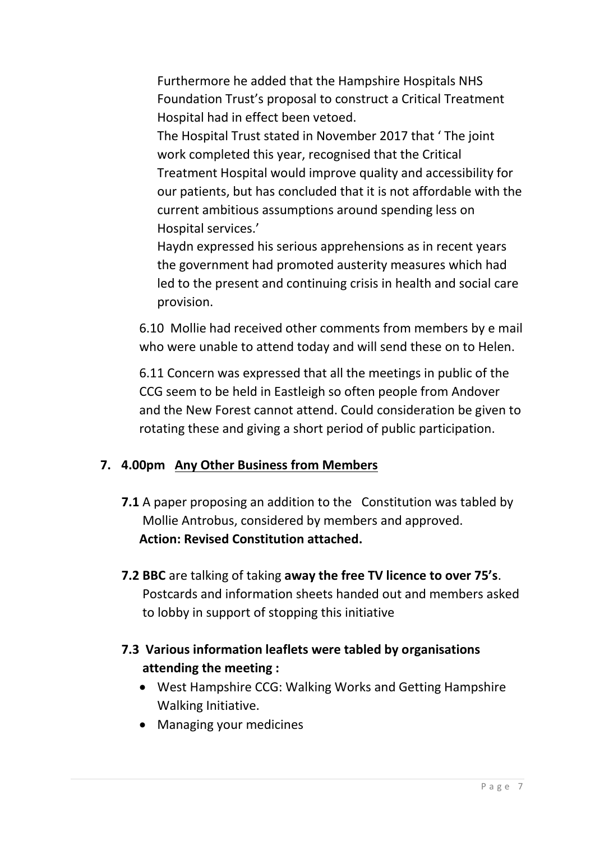Furthermore he added that the Hampshire Hospitals NHS Foundation Trust's proposal to construct a Critical Treatment Hospital had in effect been vetoed.

The Hospital Trust stated in November 2017 that ' The joint work completed this year, recognised that the Critical Treatment Hospital would improve quality and accessibility for our patients, but has concluded that it is not affordable with the current ambitious assumptions around spending less on Hospital services.'

Haydn expressed his serious apprehensions as in recent years the government had promoted austerity measures which had led to the present and continuing crisis in health and social care provision.

6.10 Mollie had received other comments from members by e mail who were unable to attend today and will send these on to Helen.

6.11 Concern was expressed that all the meetings in public of the CCG seem to be held in Eastleigh so often people from Andover and the New Forest cannot attend. Could consideration be given to rotating these and giving a short period of public participation.

## **7. 4.00pm Any Other Business from Members**

- **7.1** A paper proposing an addition to the Constitution was tabled by Mollie Antrobus, considered by members and approved. **Action: Revised Constitution attached.**
- **7.2 BBC** are talking of taking **away the free TV licence to over 75's**. Postcards and information sheets handed out and members asked to lobby in support of stopping this initiative
- **7.3 Various information leaflets were tabled by organisations attending the meeting :**
	- West Hampshire CCG: Walking Works and Getting Hampshire Walking Initiative.
	- Managing your medicines